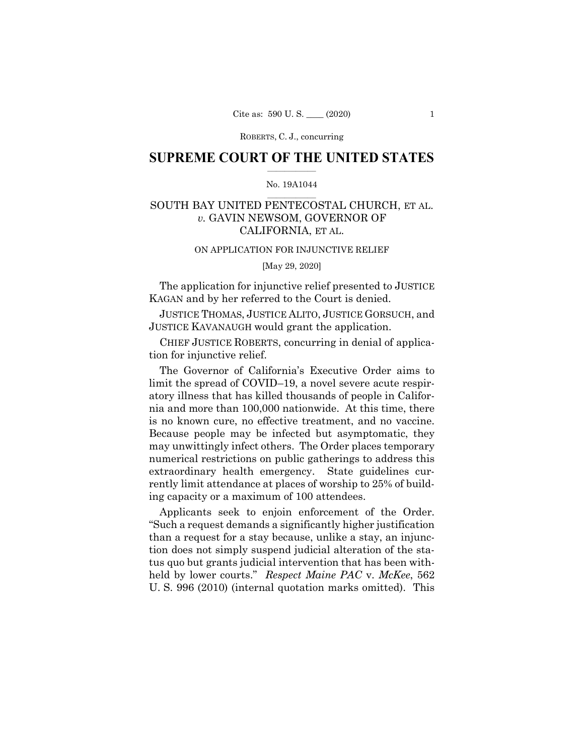ROBERTS, C. J., concurring

## **SUPREME COURT OF THE UNITED STATES**  $\overline{\phantom{a}}$  , where  $\overline{\phantom{a}}$

## No. 19A1044  $\overline{\phantom{a}}$  , where  $\overline{\phantom{a}}$

# SOUTH BAY UNITED PENTECOSTAL CHURCH, ET AL. *v.* GAVIN NEWSOM, GOVERNOR OF CALIFORNIA, ET AL.

#### ON APPLICATION FOR INJUNCTIVE RELIEF

[May 29, 2020]

The application for injunctive relief presented to JUSTICE KAGAN and by her referred to the Court is denied.

JUSTICE THOMAS, JUSTICE ALITO, JUSTICE GORSUCH, and JUSTICE KAVANAUGH would grant the application.

CHIEF JUSTICE ROBERTS, concurring in denial of application for injunctive relief.

The Governor of California's Executive Order aims to limit the spread of COVID–19, a novel severe acute respiratory illness that has killed thousands of people in California and more than 100,000 nationwide. At this time, there is no known cure, no effective treatment, and no vaccine. Because people may be infected but asymptomatic, they may unwittingly infect others. The Order places temporary numerical restrictions on public gatherings to address this extraordinary health emergency. State guidelines currently limit attendance at places of worship to 25% of building capacity or a maximum of 100 attendees.

Applicants seek to enjoin enforcement of the Order. "Such a request demands a significantly higher justification than a request for a stay because, unlike a stay, an injunction does not simply suspend judicial alteration of the status quo but grants judicial intervention that has been withheld by lower courts." *Respect Maine PAC* v. *McKee*, 562 U. S. 996 (2010) (internal quotation marks omitted). This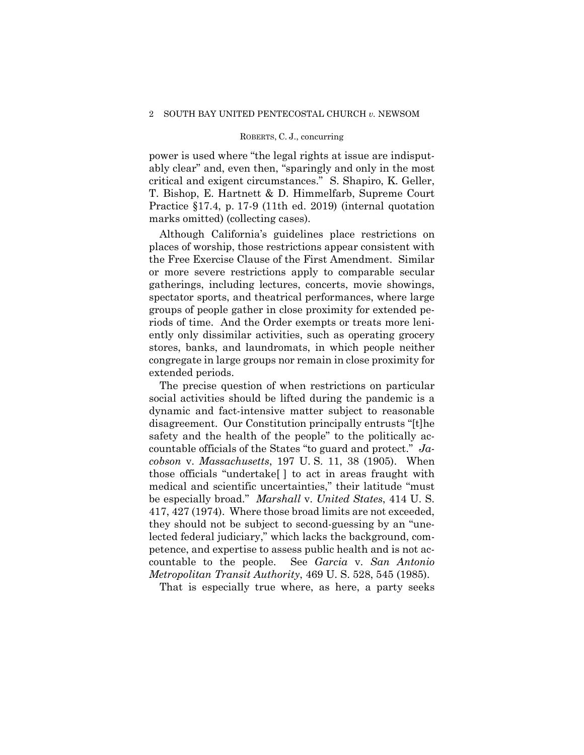#### ROBERTS, C. J., concurring

power is used where "the legal rights at issue are indisputably clear" and, even then, "sparingly and only in the most critical and exigent circumstances." S. Shapiro, K. Geller, T. Bishop, E. Hartnett & D. Himmelfarb, Supreme Court Practice §17.4, p. 17-9 (11th ed. 2019) (internal quotation marks omitted) (collecting cases).

Although California's guidelines place restrictions on places of worship, those restrictions appear consistent with the Free Exercise Clause of the First Amendment. Similar or more severe restrictions apply to comparable secular gatherings, including lectures, concerts, movie showings, spectator sports, and theatrical performances, where large groups of people gather in close proximity for extended periods of time. And the Order exempts or treats more leniently only dissimilar activities, such as operating grocery stores, banks, and laundromats, in which people neither congregate in large groups nor remain in close proximity for extended periods.

The precise question of when restrictions on particular social activities should be lifted during the pandemic is a dynamic and fact-intensive matter subject to reasonable disagreement. Our Constitution principally entrusts "[t]he safety and the health of the people" to the politically accountable officials of the States "to guard and protect." *Jacobson* v. *Massachusetts*, 197 U. S. 11, 38 (1905). When those officials "undertake[ ] to act in areas fraught with medical and scientific uncertainties," their latitude "must be especially broad." *Marshall* v. *United States*, 414 U. S. 417, 427 (1974). Where those broad limits are not exceeded, they should not be subject to second-guessing by an "unelected federal judiciary," which lacks the background, competence, and expertise to assess public health and is not accountable to the people. See *Garcia* v. *San Antonio Metropolitan Transit Authority*, 469 U. S. 528, 545 (1985).

That is especially true where, as here, a party seeks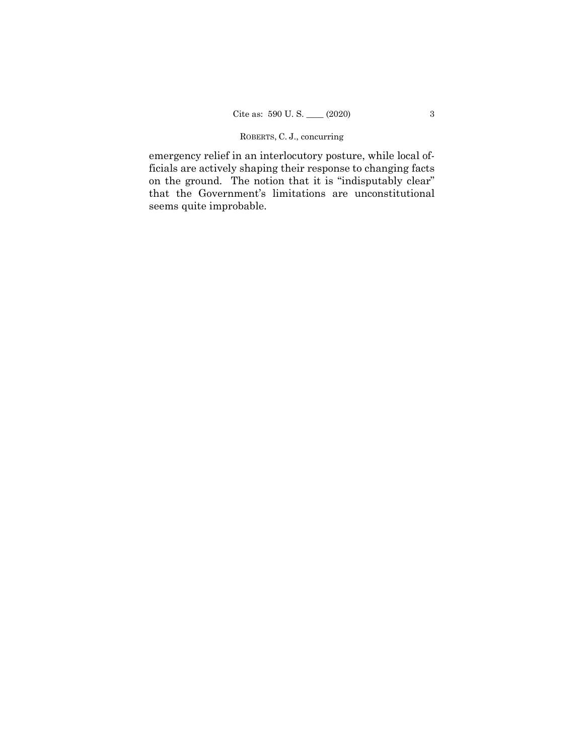## ROBERTS, C. J., concurring

emergency relief in an interlocutory posture, while local officials are actively shaping their response to changing facts on the ground. The notion that it is "indisputably clear" that the Government's limitations are unconstitutional seems quite improbable.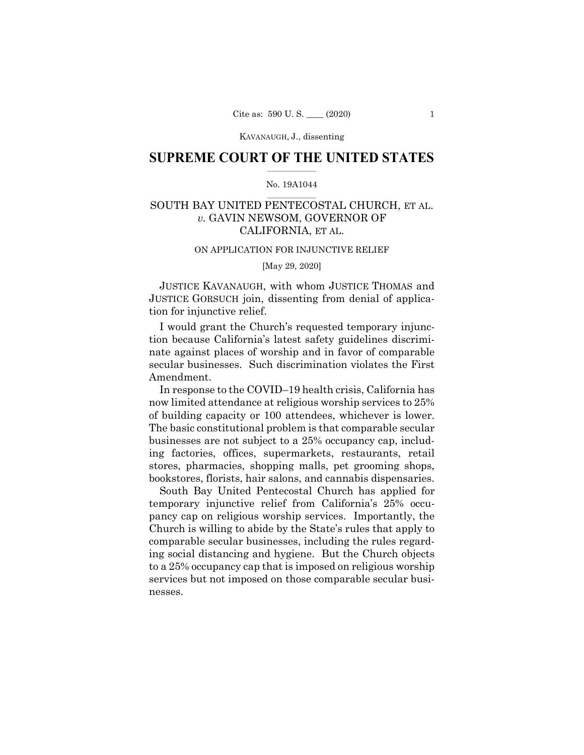KAVANAUGH, J., dissenting

## **SUPREME COURT OF THE UNITED STATES**  $\overline{\phantom{a}}$  , where  $\overline{\phantom{a}}$

## No. 19A1044  $\overline{\phantom{a}}$  , where  $\overline{\phantom{a}}$

# SOUTH BAY UNITED PENTECOSTAL CHURCH, ET AL. *v.* GAVIN NEWSOM, GOVERNOR OF CALIFORNIA, ET AL.

#### ON APPLICATION FOR INJUNCTIVE RELIEF

[May 29, 2020]

JUSTICE KAVANAUGH, with whom JUSTICE THOMAS and JUSTICE GORSUCH join, dissenting from denial of application for injunctive relief.

I would grant the Church's requested temporary injunction because California's latest safety guidelines discriminate against places of worship and in favor of comparable secular businesses. Such discrimination violates the First Amendment.

In response to the COVID–19 health crisis, California has now limited attendance at religious worship services to 25% of building capacity or 100 attendees, whichever is lower. The basic constitutional problem is that comparable secular businesses are not subject to a 25% occupancy cap, including factories, offices, supermarkets, restaurants, retail stores, pharmacies, shopping malls, pet grooming shops, bookstores, florists, hair salons, and cannabis dispensaries.

South Bay United Pentecostal Church has applied for temporary injunctive relief from California's 25% occupancy cap on religious worship services. Importantly, the Church is willing to abide by the State's rules that apply to comparable secular businesses, including the rules regarding social distancing and hygiene. But the Church objects to a 25% occupancy cap that is imposed on religious worship services but not imposed on those comparable secular businesses.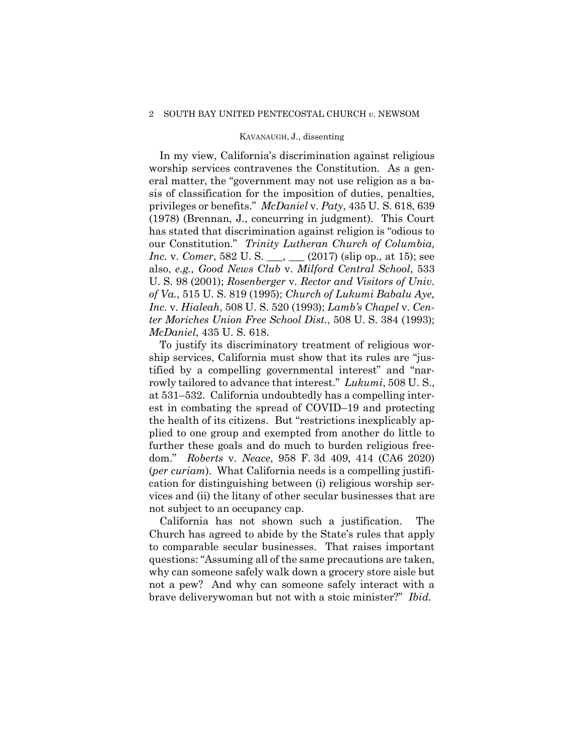#### 2 SOUTH BAY UNITED PENTECOSTAL CHURCH *v.* NEWSOM

### KAVANAUGH, J., dissenting

In my view, California's discrimination against religious worship services contravenes the Constitution. As a general matter, the "government may not use religion as a basis of classification for the imposition of duties, penalties, privileges or benefits." *McDaniel* v. *Paty*, 435 U. S. 618, 639 (1978) (Brennan, J., concurring in judgment). This Court has stated that discrimination against religion is "odious to our Constitution." *Trinity Lutheran Church of Columbia, Inc.* v. *Comer*, 582 U. S. \_\_\_, \_\_\_ (2017) (slip op., at 15); see also, *e.g., Good News Club* v. *Milford Central School*, 533 U. S. 98 (2001); *Rosenberger* v. *Rector and Visitors of Univ. of Va.*, 515 U. S. 819 (1995); *Church of Lukumi Babalu Aye, Inc.* v. *Hialeah*, 508 U. S. 520 (1993); *Lamb's Chapel* v. *Center Moriches Union Free School Dist.*, 508 U. S. 384 (1993); *McDaniel*, 435 U. S. 618.

To justify its discriminatory treatment of religious worship services, California must show that its rules are "justified by a compelling governmental interest" and "narrowly tailored to advance that interest." *Lukumi*, 508 U. S., at 531–532. California undoubtedly has a compelling interest in combating the spread of COVID–19 and protecting the health of its citizens. But "restrictions inexplicably applied to one group and exempted from another do little to further these goals and do much to burden religious freedom." *Roberts* v. *Neace*, 958 F. 3d 409, 414 (CA6 2020) (*per curiam*). What California needs is a compelling justification for distinguishing between (i) religious worship services and (ii) the litany of other secular businesses that are not subject to an occupancy cap.

California has not shown such a justification. The Church has agreed to abide by the State's rules that apply to comparable secular businesses. That raises important questions: "Assuming all of the same precautions are taken, why can someone safely walk down a grocery store aisle but not a pew? And why can someone safely interact with a brave deliverywoman but not with a stoic minister?" *Ibid.*